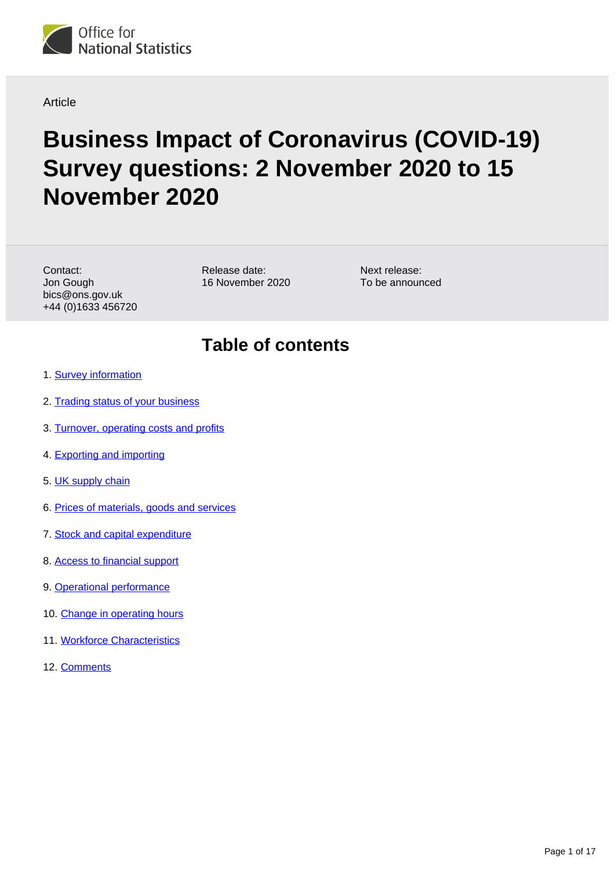

Article

# **Business Impact of Coronavirus (COVID-19) Survey questions: 2 November 2020 to 15 November 2020**

Contact: Jon Gough bics@ons.gov.uk +44 (0)1633 456720 Release date: 16 November 2020 Next release: To be announced

### **Table of contents**

- 1. [Survey information](#page-1-0)
- 2. [Trading status of your business](#page-1-1)
- 3. [Turnover, operating costs and profits](#page-3-0)
- 4. [Exporting and importing](#page-5-0)
- 5. [UK supply chain](#page-6-0)
- 6. [Prices of materials, goods and services](#page-7-0)
- 7. [Stock and capital expenditure](#page-8-0)
- 8. [Access to financial support](#page-10-0)
- 9. [Operational performance](#page-13-0)
- 10. [Change in operating hours](#page-14-0)
- 11. [Workforce Characteristics](#page-15-0)
- 12. [Comments](#page-16-0)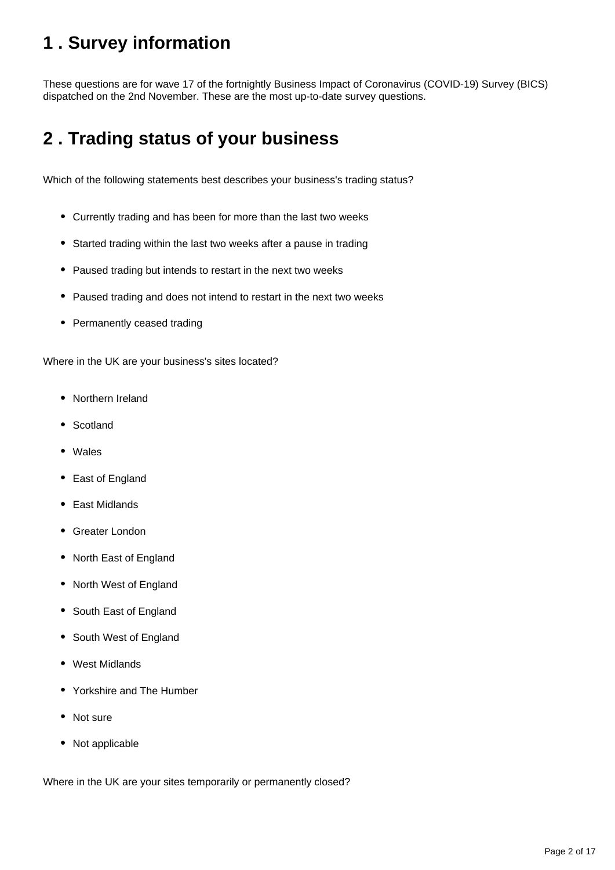# <span id="page-1-0"></span>**1 . Survey information**

These questions are for wave 17 of the fortnightly Business Impact of Coronavirus (COVID-19) Survey (BICS) dispatched on the 2nd November. These are the most up-to-date survey questions.

# <span id="page-1-1"></span>**2 . Trading status of your business**

Which of the following statements best describes your business's trading status?

- Currently trading and has been for more than the last two weeks
- Started trading within the last two weeks after a pause in trading
- Paused trading but intends to restart in the next two weeks
- Paused trading and does not intend to restart in the next two weeks
- Permanently ceased trading

Where in the UK are your business's sites located?

- Northern Ireland
- Scotland
- Wales
- East of England
- East Midlands
- Greater London
- North East of England
- North West of England
- South East of England
- South West of England
- West Midlands
- Yorkshire and The Humber
- Not sure
- Not applicable

Where in the UK are your sites temporarily or permanently closed?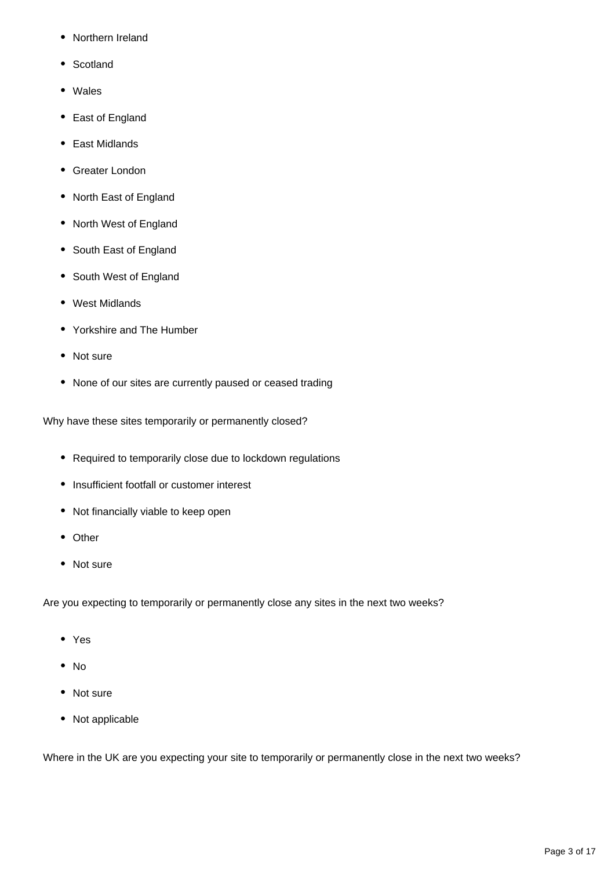- Northern Ireland
- Scotland
- Wales
- East of England
- East Midlands
- Greater London
- North East of England
- North West of England
- South East of England
- South West of England
- West Midlands
- Yorkshire and The Humber
- Not sure
- None of our sites are currently paused or ceased trading

Why have these sites temporarily or permanently closed?

- Required to temporarily close due to lockdown regulations
- Insufficient footfall or customer interest
- Not financially viable to keep open
- Other
- Not sure

Are you expecting to temporarily or permanently close any sites in the next two weeks?

- Yes
- No
- Not sure
- Not applicable

Where in the UK are you expecting your site to temporarily or permanently close in the next two weeks?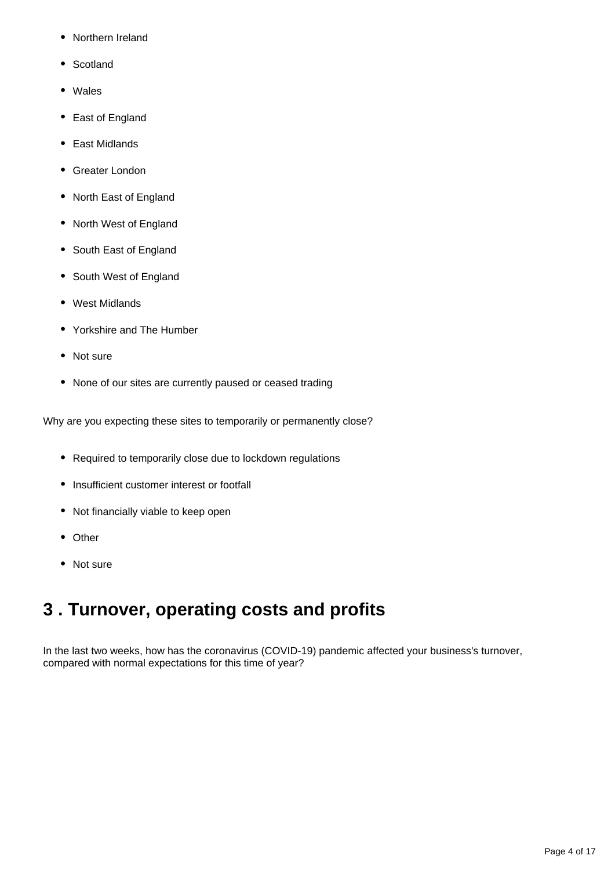- Northern Ireland
- Scotland
- Wales
- East of England
- East Midlands
- Greater London
- North East of England
- North West of England
- South East of England
- South West of England
- West Midlands
- Yorkshire and The Humber
- Not sure
- None of our sites are currently paused or ceased trading

Why are you expecting these sites to temporarily or permanently close?

- Required to temporarily close due to lockdown regulations
- Insufficient customer interest or footfall
- Not financially viable to keep open
- Other
- Not sure

### <span id="page-3-0"></span>**3 . Turnover, operating costs and profits**

In the last two weeks, how has the coronavirus (COVID-19) pandemic affected your business's turnover, compared with normal expectations for this time of year?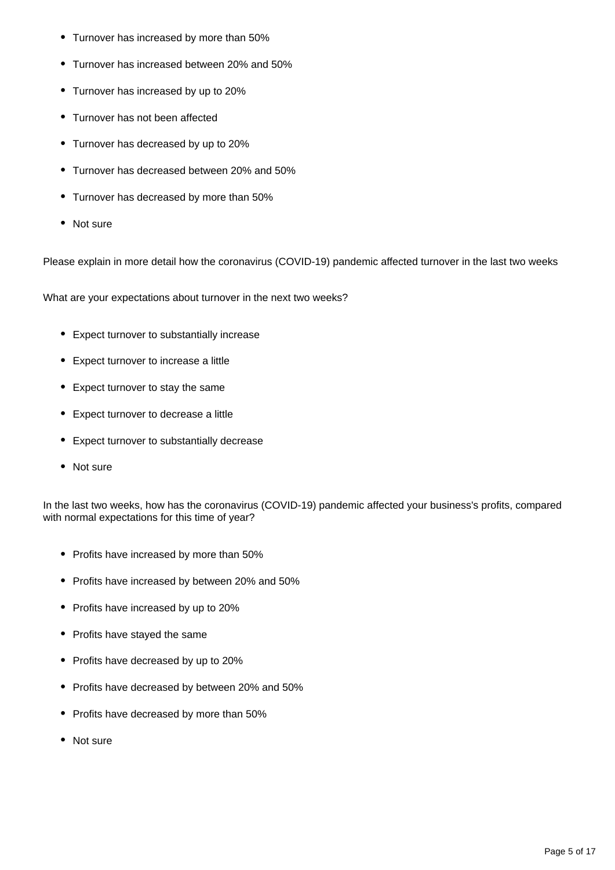- Turnover has increased by more than 50%
- Turnover has increased between 20% and 50%
- Turnover has increased by up to 20%
- Turnover has not been affected
- Turnover has decreased by up to 20%
- Turnover has decreased between 20% and 50%
- Turnover has decreased by more than 50%
- Not sure

Please explain in more detail how the coronavirus (COVID-19) pandemic affected turnover in the last two weeks

What are your expectations about turnover in the next two weeks?

- Expect turnover to substantially increase
- Expect turnover to increase a little
- Expect turnover to stay the same
- Expect turnover to decrease a little
- Expect turnover to substantially decrease
- Not sure

In the last two weeks, how has the coronavirus (COVID-19) pandemic affected your business's profits, compared with normal expectations for this time of year?

- Profits have increased by more than 50%
- Profits have increased by between 20% and 50%
- Profits have increased by up to 20%
- Profits have stayed the same
- Profits have decreased by up to 20%
- Profits have decreased by between 20% and 50%
- Profits have decreased by more than 50%
- Not sure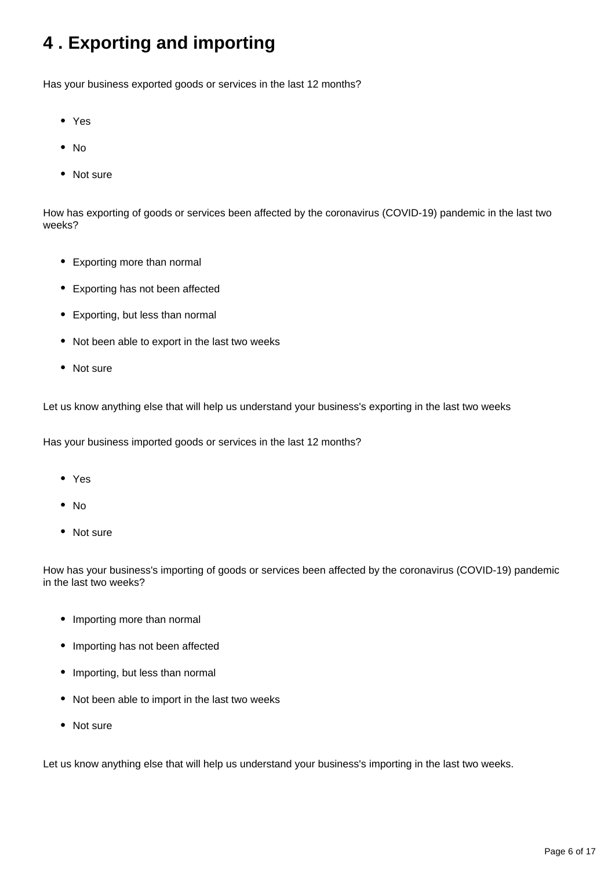# <span id="page-5-0"></span>**4 . Exporting and importing**

Has your business exported goods or services in the last 12 months?

- Yes
- $\bullet$  No
- Not sure

How has exporting of goods or services been affected by the coronavirus (COVID-19) pandemic in the last two weeks?

- Exporting more than normal
- Exporting has not been affected
- Exporting, but less than normal
- Not been able to export in the last two weeks
- Not sure

Let us know anything else that will help us understand your business's exporting in the last two weeks

Has your business imported goods or services in the last 12 months?

- Yes
- No
- Not sure

How has your business's importing of goods or services been affected by the coronavirus (COVID-19) pandemic in the last two weeks?

- Importing more than normal
- Importing has not been affected
- Importing, but less than normal
- Not been able to import in the last two weeks
- Not sure

Let us know anything else that will help us understand your business's importing in the last two weeks.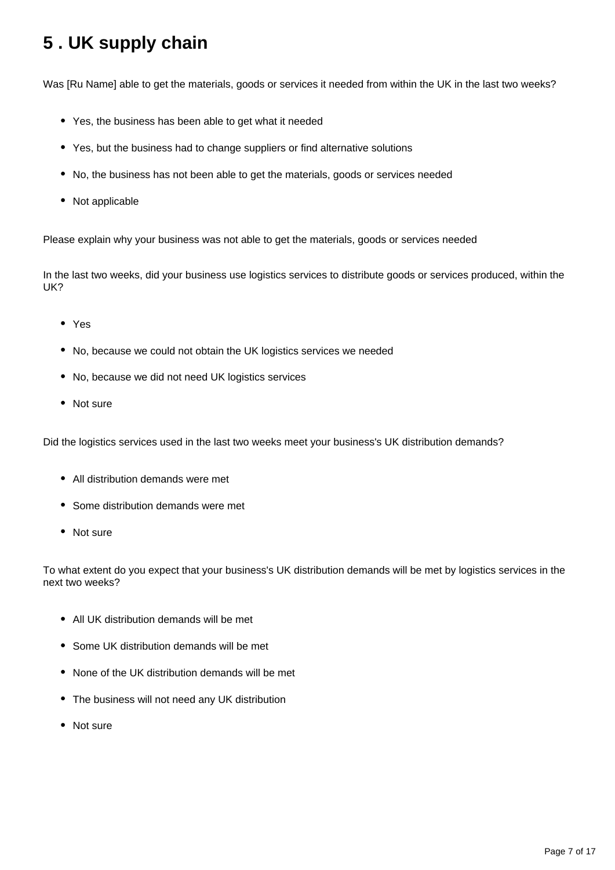# <span id="page-6-0"></span>**5 . UK supply chain**

Was [Ru Name] able to get the materials, goods or services it needed from within the UK in the last two weeks?

- Yes, the business has been able to get what it needed
- Yes, but the business had to change suppliers or find alternative solutions
- No, the business has not been able to get the materials, goods or services needed
- Not applicable

Please explain why your business was not able to get the materials, goods or services needed

In the last two weeks, did your business use logistics services to distribute goods or services produced, within the UK?

- Yes
- No, because we could not obtain the UK logistics services we needed
- No, because we did not need UK logistics services
- Not sure

Did the logistics services used in the last two weeks meet your business's UK distribution demands?

- All distribution demands were met
- Some distribution demands were met
- Not sure

To what extent do you expect that your business's UK distribution demands will be met by logistics services in the next two weeks?

- All UK distribution demands will be met
- Some UK distribution demands will be met
- None of the UK distribution demands will be met
- The business will not need any UK distribution
- Not sure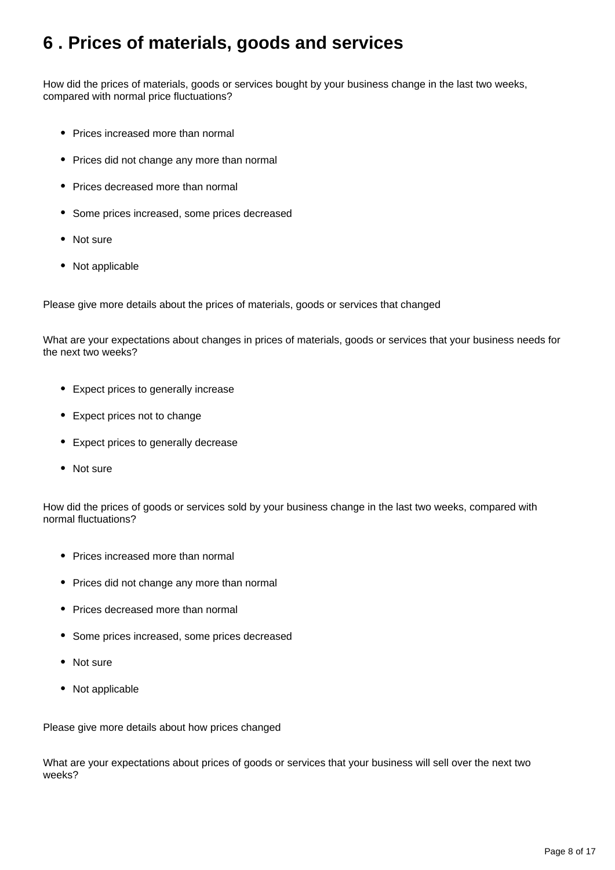### <span id="page-7-0"></span>**6 . Prices of materials, goods and services**

How did the prices of materials, goods or services bought by your business change in the last two weeks, compared with normal price fluctuations?

- Prices increased more than normal
- Prices did not change any more than normal
- Prices decreased more than normal
- Some prices increased, some prices decreased
- Not sure
- Not applicable

Please give more details about the prices of materials, goods or services that changed

What are your expectations about changes in prices of materials, goods or services that your business needs for the next two weeks?

- Expect prices to generally increase
- Expect prices not to change
- Expect prices to generally decrease
- Not sure

How did the prices of goods or services sold by your business change in the last two weeks, compared with normal fluctuations?

- Prices increased more than normal
- Prices did not change any more than normal
- Prices decreased more than normal
- Some prices increased, some prices decreased
- Not sure
- Not applicable

Please give more details about how prices changed

What are your expectations about prices of goods or services that your business will sell over the next two weeks?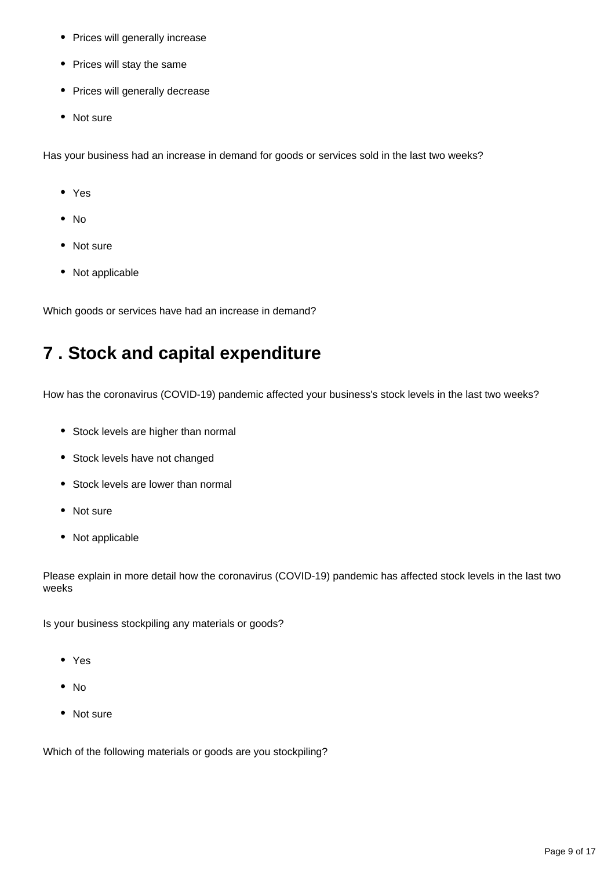- Prices will generally increase
- Prices will stay the same
- Prices will generally decrease
- Not sure

Has your business had an increase in demand for goods or services sold in the last two weeks?

- Yes
- No
- Not sure
- Not applicable

Which goods or services have had an increase in demand?

### <span id="page-8-0"></span>**7 . Stock and capital expenditure**

How has the coronavirus (COVID-19) pandemic affected your business's stock levels in the last two weeks?

- Stock levels are higher than normal
- Stock levels have not changed
- Stock levels are lower than normal
- Not sure
- Not applicable

Please explain in more detail how the coronavirus (COVID-19) pandemic has affected stock levels in the last two weeks

Is your business stockpiling any materials or goods?

- Yes
- $\bullet$  No
- Not sure

Which of the following materials or goods are you stockpiling?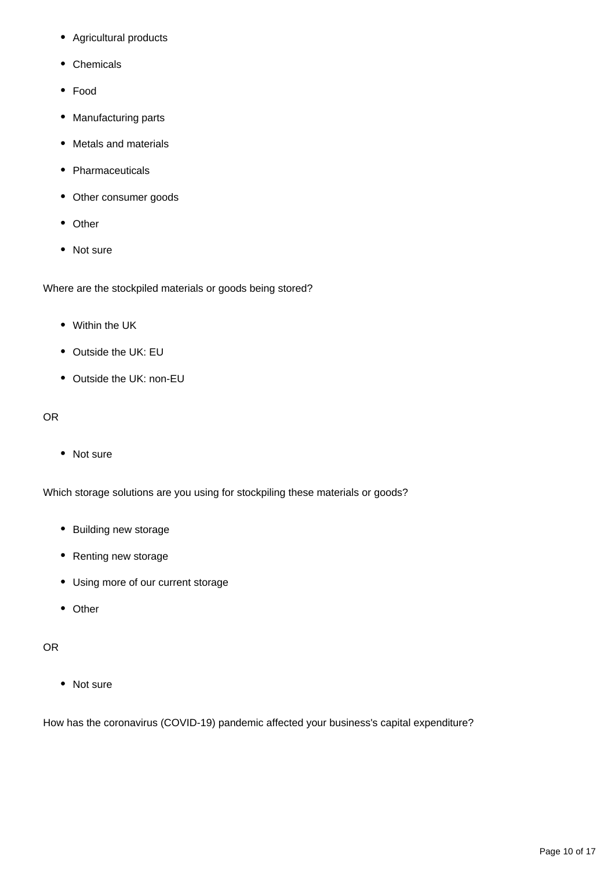- Agricultural products
- Chemicals
- Food
- Manufacturing parts
- Metals and materials
- Pharmaceuticals
- Other consumer goods
- Other
- Not sure

Where are the stockpiled materials or goods being stored?

- Within the UK
- Outside the UK: EU
- Outside the UK: non-EU

#### OR

• Not sure

Which storage solutions are you using for stockpiling these materials or goods?

- Building new storage
- Renting new storage
- Using more of our current storage
- Other

#### OR

• Not sure

How has the coronavirus (COVID-19) pandemic affected your business's capital expenditure?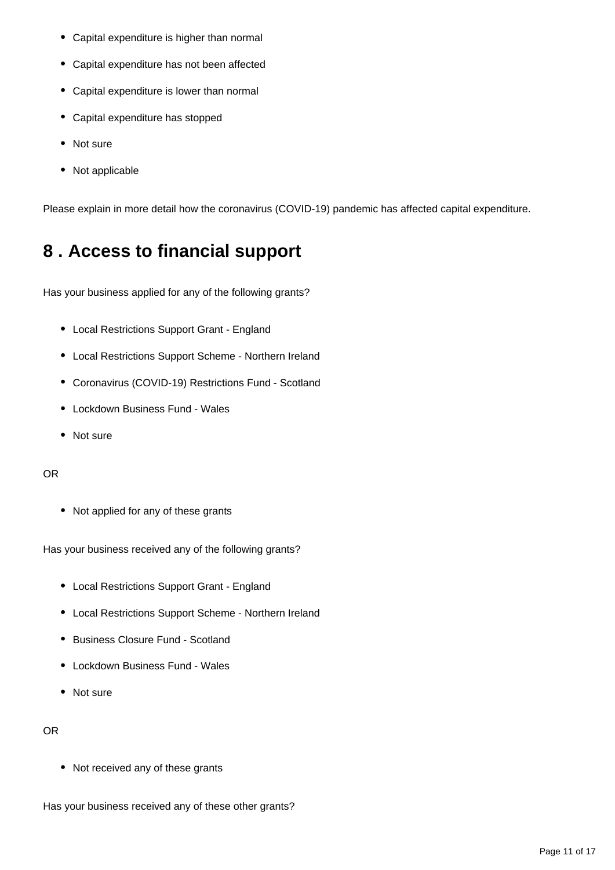- Capital expenditure is higher than normal
- Capital expenditure has not been affected
- Capital expenditure is lower than normal
- Capital expenditure has stopped
- Not sure
- Not applicable

Please explain in more detail how the coronavirus (COVID-19) pandemic has affected capital expenditure.

# <span id="page-10-0"></span>**8 . Access to financial support**

Has your business applied for any of the following grants?

- Local Restrictions Support Grant England
- Local Restrictions Support Scheme Northern Ireland
- Coronavirus (COVID-19) Restrictions Fund Scotland
- Lockdown Business Fund Wales
- Not sure

#### OR

• Not applied for any of these grants

Has your business received any of the following grants?

- Local Restrictions Support Grant England
- Local Restrictions Support Scheme Northern Ireland
- Business Closure Fund Scotland
- Lockdown Business Fund Wales
- Not sure

#### OR

• Not received any of these grants

Has your business received any of these other grants?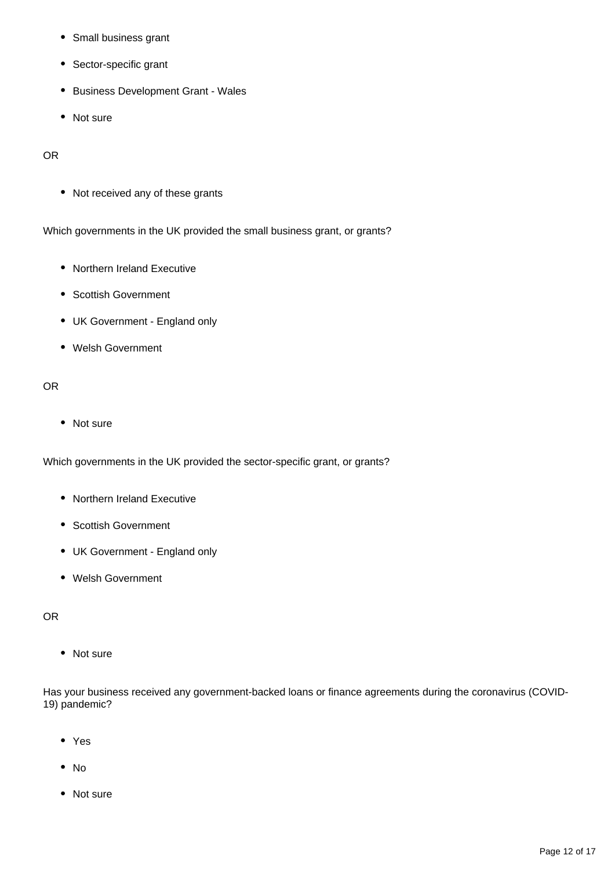- Small business grant
- Sector-specific grant
- Business Development Grant Wales
- Not sure

#### OR

• Not received any of these grants

Which governments in the UK provided the small business grant, or grants?

- Northern Ireland Executive
- Scottish Government
- UK Government England only
- Welsh Government

#### OR

• Not sure

Which governments in the UK provided the sector-specific grant, or grants?

- Northern Ireland Executive
- Scottish Government
- UK Government England only
- Welsh Government

#### OR

• Not sure

Has your business received any government-backed loans or finance agreements during the coronavirus (COVID-19) pandemic?

- Yes
- No
- Not sure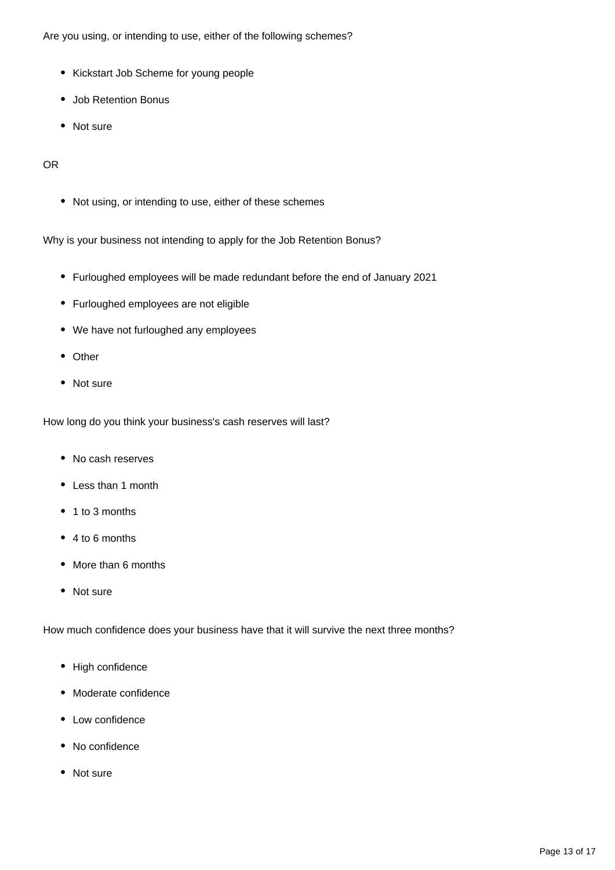Are you using, or intending to use, either of the following schemes?

- Kickstart Job Scheme for young people
- Job Retention Bonus
- Not sure

#### OR

Not using, or intending to use, either of these schemes

Why is your business not intending to apply for the Job Retention Bonus?

- Furloughed employees will be made redundant before the end of January 2021
- Furloughed employees are not eligible
- We have not furloughed any employees
- Other
- Not sure

How long do you think your business's cash reserves will last?

- No cash reserves
- Less than 1 month
- 1 to 3 months
- 4 to 6 months
- More than 6 months
- Not sure

How much confidence does your business have that it will survive the next three months?

- High confidence
- Moderate confidence
- Low confidence
- No confidence
- Not sure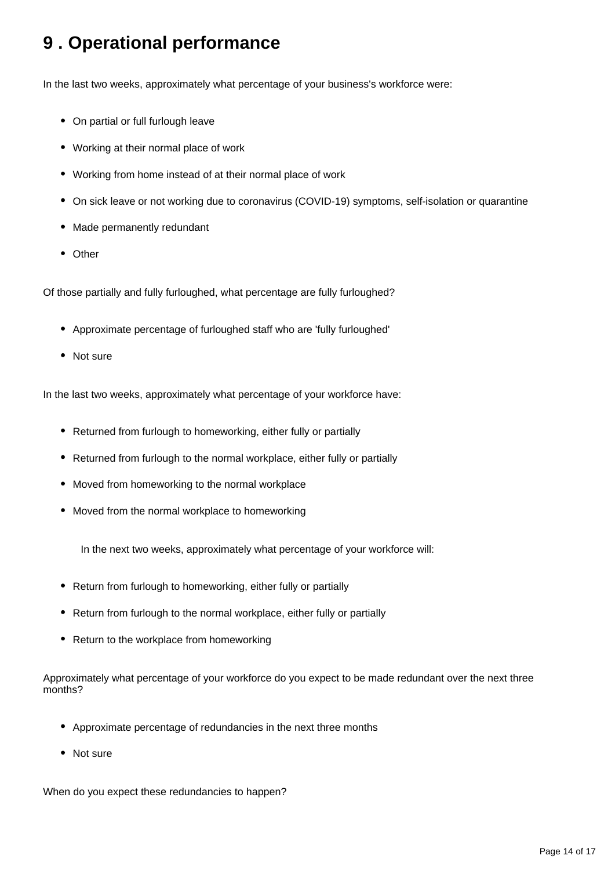# <span id="page-13-0"></span>**9 . Operational performance**

In the last two weeks, approximately what percentage of your business's workforce were:

- On partial or full furlough leave
- Working at their normal place of work
- Working from home instead of at their normal place of work
- On sick leave or not working due to coronavirus (COVID-19) symptoms, self-isolation or quarantine
- Made permanently redundant
- Other

Of those partially and fully furloughed, what percentage are fully furloughed?

- Approximate percentage of furloughed staff who are 'fully furloughed'
- Not sure

In the last two weeks, approximately what percentage of your workforce have:

- Returned from furlough to homeworking, either fully or partially
- Returned from furlough to the normal workplace, either fully or partially
- Moved from homeworking to the normal workplace
- Moved from the normal workplace to homeworking

In the next two weeks, approximately what percentage of your workforce will:

- Return from furlough to homeworking, either fully or partially
- Return from furlough to the normal workplace, either fully or partially
- Return to the workplace from homeworking

Approximately what percentage of your workforce do you expect to be made redundant over the next three months?

- Approximate percentage of redundancies in the next three months
- Not sure

When do you expect these redundancies to happen?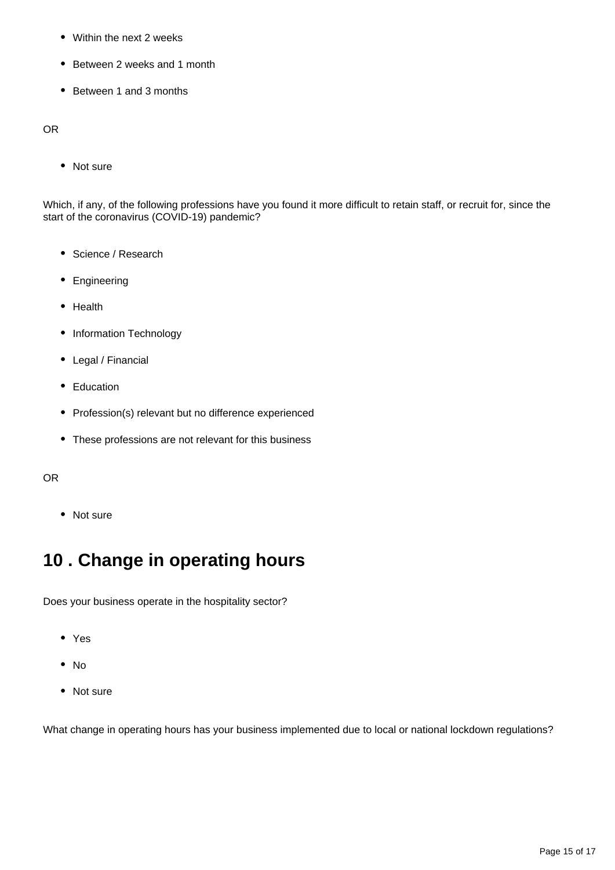- Within the next 2 weeks
- Between 2 weeks and 1 month
- Between 1 and 3 months

OR

• Not sure

Which, if any, of the following professions have you found it more difficult to retain staff, or recruit for, since the start of the coronavirus (COVID-19) pandemic?

- Science / Research
- Engineering
- Health
- Information Technology
- Legal / Financial
- Education
- Profession(s) relevant but no difference experienced
- These professions are not relevant for this business

#### OR

• Not sure

### <span id="page-14-0"></span>**10 . Change in operating hours**

Does your business operate in the hospitality sector?

- Yes
- $\bullet$  No
- Not sure

What change in operating hours has your business implemented due to local or national lockdown regulations?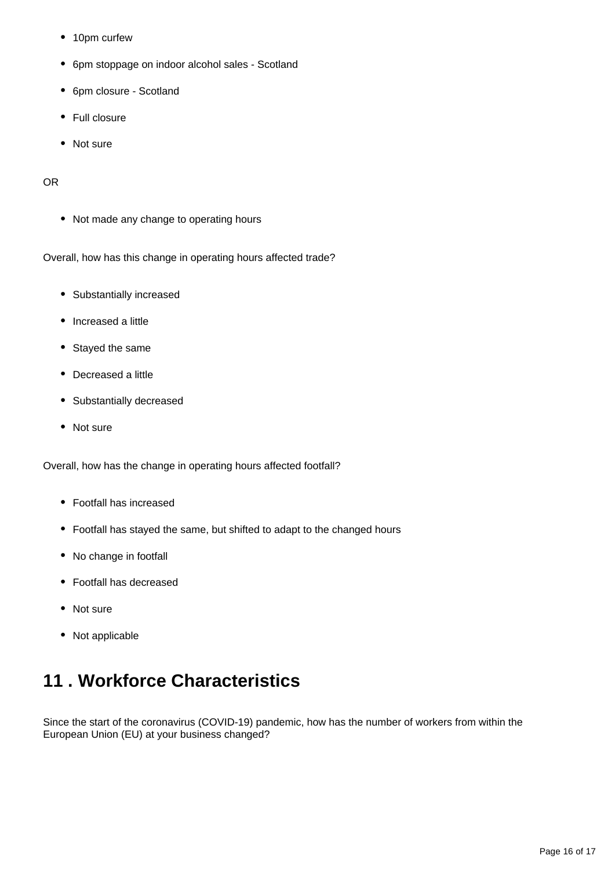- 10pm curfew
- 6pm stoppage on indoor alcohol sales Scotland
- 6pm closure Scotland
- Full closure
- Not sure

#### OR

• Not made any change to operating hours

Overall, how has this change in operating hours affected trade?

- Substantially increased
- Increased a little
- Stayed the same
- Decreased a little
- Substantially decreased
- Not sure

Overall, how has the change in operating hours affected footfall?

- Footfall has increased
- Footfall has stayed the same, but shifted to adapt to the changed hours
- No change in footfall
- Footfall has decreased
- Not sure
- Not applicable

# <span id="page-15-0"></span>**11 . Workforce Characteristics**

Since the start of the coronavirus (COVID-19) pandemic, how has the number of workers from within the European Union (EU) at your business changed?